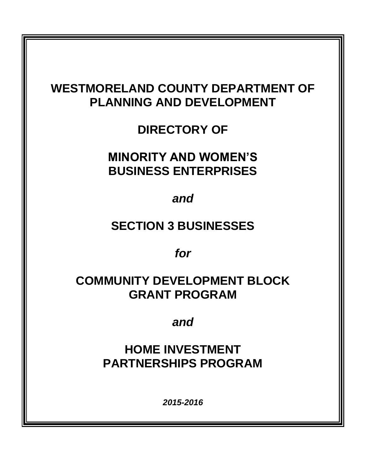# **WESTMORELAND COUNTY DEPARTMENT OF PLANNING AND DEVELOPMENT**

**DIRECTORY OF** 

**MINORITY AND WOMEN'S BUSINESS ENTERPRISES**

*and*

# **SECTION 3 BUSINESSES**

*for*

# **COMMUNITY DEVELOPMENT BLOCK GRANT PROGRAM**

*and*

**HOME INVESTMENT PARTNERSHIPS PROGRAM**

*2015-2016*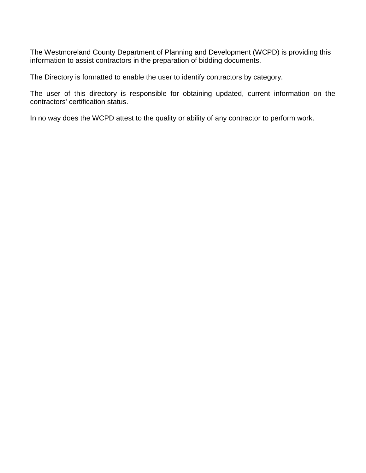The Westmoreland County Department of Planning and Development (WCPD) is providing this information to assist contractors in the preparation of bidding documents.

The Directory is formatted to enable the user to identify contractors by category.

The user of this directory is responsible for obtaining updated, current information on the contractors' certification status.

In no way does the WCPD attest to the quality or ability of any contractor to perform work.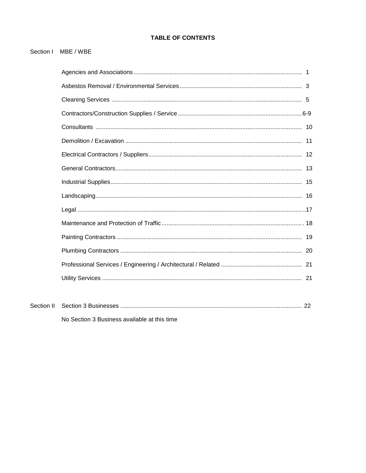# **TABLE OF CONTENTS**

## Section I MBE / WBE

No Section 3 Business available at this time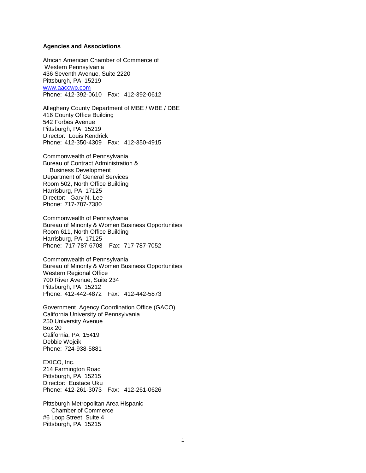#### **Agencies and Associations**

African American Chamber of Commerce of Western Pennsylvania 436 Seventh Avenue, Suite 2220 Pittsburgh, PA 15219 [www.aaccwp.com](http://www.aaccwp.conm/) Phone: 412-392-0610 Fax: 412-392-0612

Allegheny County Department of MBE / WBE / DBE 416 County Office Building 542 Forbes Avenue Pittsburgh, PA 15219 Director: Louis Kendrick Phone: 412-350-4309 Fax: 412-350-4915

Commonwealth of Pennsylvania Bureau of Contract Administration & Business Development Department of General Services Room 502, North Office Building Harrisburg, PA 17125 Director: Gary N. Lee Phone: 717-787-7380

Commonwealth of Pennsylvania Bureau of Minority & Women Business Opportunities Room 611, North Office Building Harrisburg, PA 17125 Phone: 717-787-6708 Fax: 717-787-7052

Commonwealth of Pennsylvania Bureau of Minority & Women Business Opportunities Western Regional Office 700 River Avenue, Suite 234 Pittsburgh, PA 15212 Phone: 412-442-4872 Fax: 412-442-5873

Government Agency Coordination Office (GACO) California University of Pennsylvania 250 University Avenue Box 20 California, PA 15419 Debbie Wojcik Phone: 724-938-5881

EXICO, Inc. 214 Farmington Road Pittsburgh, PA 15215 Director: Eustace Uku Phone: 412-261-3073 Fax: 412-261-0626

Pittsburgh Metropolitan Area Hispanic Chamber of Commerce #6 Loop Street, Suite 4 Pittsburgh, PA 15215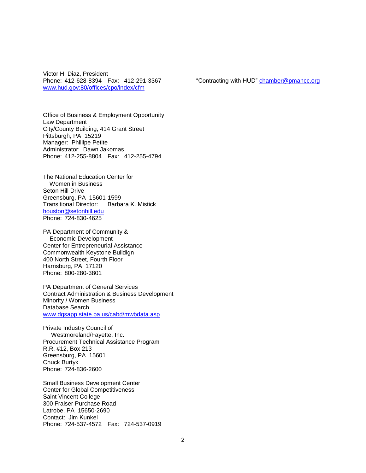Victor H. Diaz, President [www.hud.gov:80/offices/cpo/index/cfm](http://www.hud.gov/offices/cpo/index/cfm)

Phone: 412-628-8394 Fax: 412-291-3367 "Contracting with HUD" [chamber@pmahcc.org](mailto:chamber@pmahcc.org)

Office of Business & Employment Opportunity Law Department City/County Building, 414 Grant Street Pittsburgh, PA 15219 Manager: Phillipe Petite Administrator: Dawn Jakomas Phone: 412-255-8804 Fax: 412-255-4794

The National Education Center for Women in Business Seton Hill Drive Greensburg, PA 15601-1599 Transitional Director: Barbara K. Mistick [houston@setonhill.edu](mailto:houston@setonhill.edu) Phone: 724-830-4625

PA Department of Community & Economic Development Center for Entrepreneurial Assistance Commonwealth Keystone Buildign 400 North Street, Fourth Floor Harrisburg, PA 17120 Phone: 800-280-3801

PA Department of General Services Contract Administration & Business Development Minority / Women Business Database Search [www.dgsapp.state.pa.us/cabd/mwbdata.asp](http://www.dgsapp.state.pa.us/cabd/mwbdata.asp)

Private Industry Council of Westmoreland/Fayette, Inc. Procurement Technical Assistance Program R.R. #12, Box 213 Greensburg, PA 15601 Chuck Burtyk Phone: 724-836-2600

Small Business Development Center Center for Global Competitiveness Saint Vincent College 300 Fraiser Purchase Road Latrobe, PA 15650-2690 Contact: Jim Kunkel Phone: 724-537-4572 Fax: 724-537-0919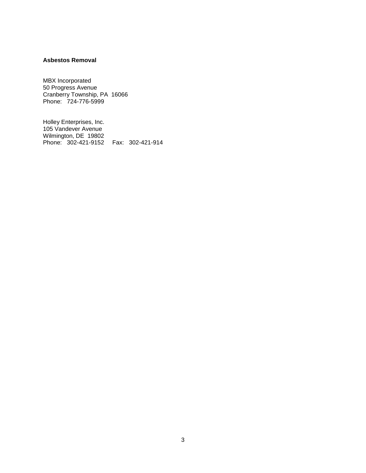#### **Asbestos Removal**

MBX Incorporated 50 Progress Avenue Cranberry Township, PA 16066 Phone: 724-776-5999

Holley Enterprises, Inc. 105 Vandever Avenue Wilmington, DE 19802 Phone: 302-421-9152 Fax: 302-421-914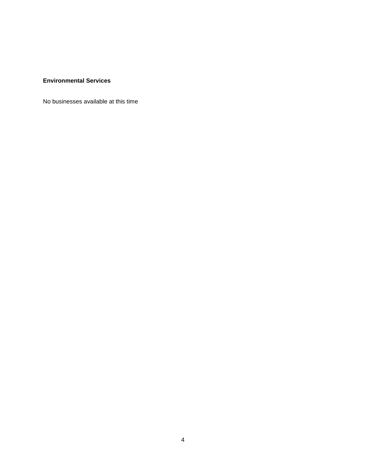#### **Environmental Services**

No businesses available at this time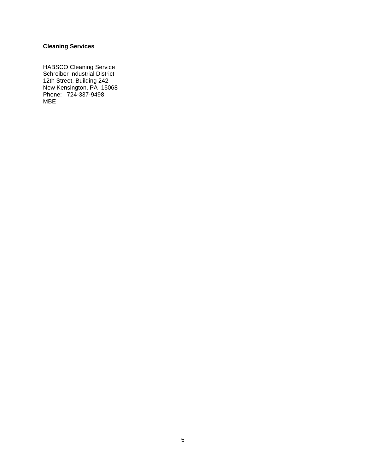## **Cleaning Services**

HABSCO Cleaning Service Schreiber Industrial District 12th Street, Building 242 New Kensington, PA 15068 Phone: 724-337-9498 MBE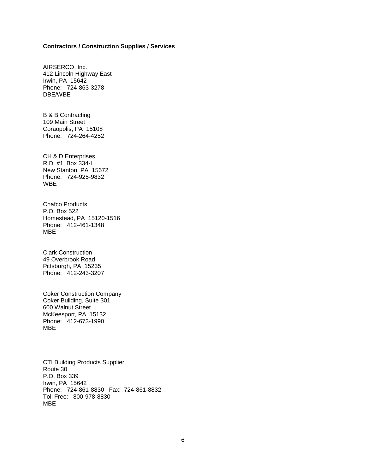#### **Contractors / Construction Supplies / Services**

AIRSERCO, Inc. 412 Lincoln Highway East Irwin, PA 15642 Phone: 724-863-3278 DBE/WBE

B & B Contracting 109 Main Street Coraopolis, PA 15108 Phone: 724-264-4252

CH & D Enterprises R.D. #1, Box 334-H New Stanton, PA 15672 Phone: 724-925-9832 WBE

Chafco Products P.O. Box 522 Homestead, PA 15120-1516 Phone: 412-461-1348 MBE

Clark Construction 49 Overbrook Road Pittsburgh, PA 15235 Phone: 412-243-3207

Coker Construction Company Coker Building, Suite 301 600 Walnut Street McKeesport, PA 15132 Phone: 412-673-1990 MBE

CTI Building Products Supplier Route 30 P.O. Box 339 Irwin, PA 15642 Phone: 724-861-8830 Fax: 724-861-8832 Toll Free: 800-978-8830 MBE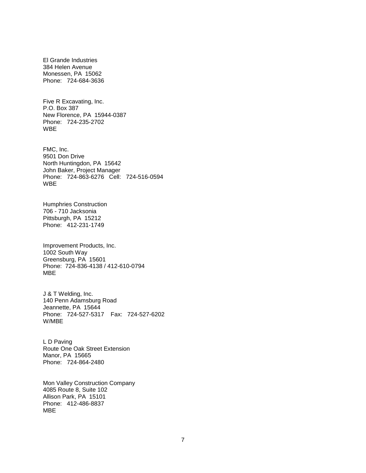El Grande Industries 384 Helen Avenue Monessen, PA 15062 Phone: 724-684-3636

Five R Excavating, Inc. P.O. Box 387 New Florence, PA 15944-0387 Phone: 724-235-2702 WBE

FMC, Inc. 9501 Don Drive North Huntingdon, PA 15642 John Baker, Project Manager Phone: 724-863-6276 Cell: 724-516-0594 WBE

Humphries Construction 706 - 710 Jacksonia Pittsburgh, PA 15212 Phone: 412-231-1749

Improvement Products, Inc. 1002 South Way Greensburg, PA 15601 Phone: 724-836-4138 / 412-610-0794 MBE

J & T Welding, Inc. 140 Penn Adamsburg Road Jeannette, PA 15644 Phone: 724-527-5317 Fax: 724-527-6202 W/MBE

L D Paving Route One Oak Street Extension Manor, PA 15665 Phone: 724-864-2480

Mon Valley Construction Company 4085 Route 8, Suite 102 Allison Park, PA 15101 Phone: 412-486-8837 MBE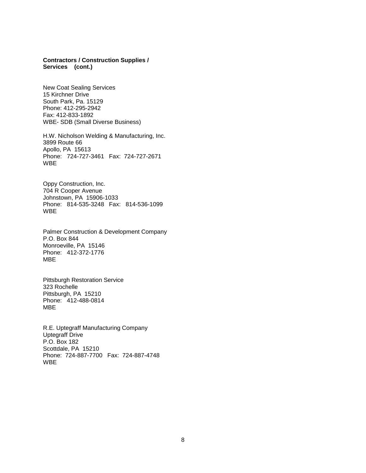#### **Contractors / Construction Supplies / Services (cont.)**

New Coat Sealing Services 15 Kirchner Drive South Park, Pa. 15129 Phone: 412-295-2942 Fax: 412-833-1892 WBE- SDB (Small Diverse Business)

H.W. Nicholson Welding & Manufacturing, Inc. 3899 Route 66 Apollo, PA 15613 Phone: 724-727-3461 Fax: 724-727-2671 WBE

Oppy Construction, Inc. 704 R Cooper Avenue Johnstown, PA 15906-1033 Phone: 814-535-3248 Fax: 814-536-1099 WBE

Palmer Construction & Development Company P.O. Box 844 Monroeville, PA 15146 Phone: 412-372-1776 MBE

Pittsburgh Restoration Service 323 Rochelle Pittsburgh, PA 15210 Phone: 412-488-0814 MBE

R.E. Uptegraff Manufacturing Company Uptegraff Drive P.O. Box 182 Scottdale, PA 15210 Phone: 724-887-7700 Fax: 724-887-4748 WBE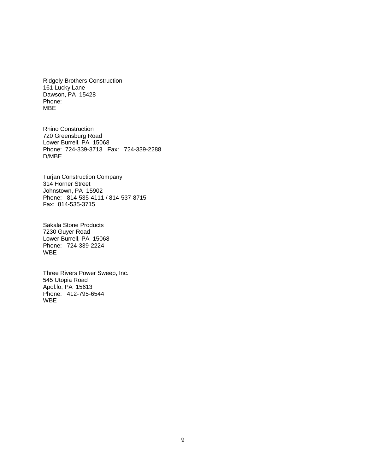Ridgely Brothers Construction 161 Lucky Lane Dawson, PA 15428 Phone: MBE

Rhino Construction 720 Greensburg Road Lower Burrell, PA 15068 Phone: 724-339-3713 Fax: 724-339-2288 D/MBE

Turjan Construction Company 314 Horner Street Johnstown, PA 15902 Phone: 814-535-4111 / 814-537-8715 Fax: 814-535-3715

Sakala Stone Products 7230 Guyer Road Lower Burrell, PA 15068 Phone: 724-339-2224 WBE

Three Rivers Power Sweep, Inc. 545 Utopia Road Apol.lo, PA 15613 Phone: 412-795-6544 WBE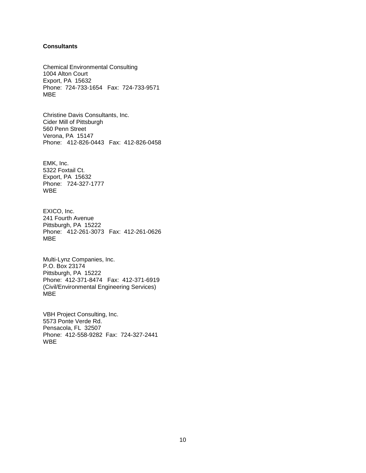#### **Consultants**

Chemical Environmental Consulting 1004 Alton Court Export, PA 15632 Phone: 724-733-1654 Fax: 724-733-9571 MBE

Christine Davis Consultants, Inc. Cider Mill of Pittsburgh 560 Penn Street Verona, PA 15147 Phone: 412-826-0443 Fax: 412-826-0458

EMK, Inc. 5322 Foxtail Ct. Export, PA 15632 Phone: 724-327-1777 WBE

EXICO, Inc. 241 Fourth Avenue Pittsburgh, PA 15222 Phone: 412-261-3073 Fax: 412-261-0626 MBE

Multi-Lynz Companies, Inc. P.O. Box 23174 Pittsburgh, PA 15222 Phone: 412-371-8474 Fax: 412-371-6919 (Civil/Environmental Engineering Services) MBE

VBH Project Consulting, Inc. 5573 Ponte Verde Rd. Pensacola, FL 32507 Phone: 412-558-9282 Fax: 724-327-2441 WBE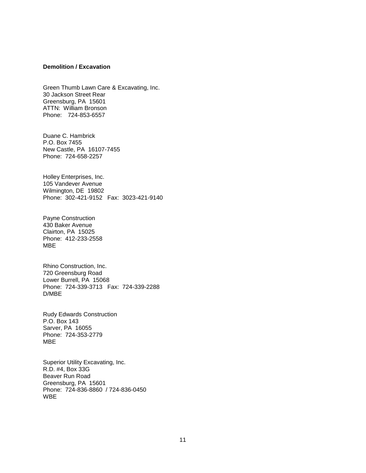#### **Demolition / Excavation**

Green Thumb Lawn Care & Excavating, Inc. 30 Jackson Street Rear Greensburg, PA 15601 ATTN: William Bronson Phone: 724-853-6557

Duane C. Hambrick P.O. Box 7455 New Castle, PA 16107-7455 Phone: 724-658-2257

Holley Enterprises, Inc. 105 Vandever Avenue Wilmington, DE 19802 Phone: 302-421-9152 Fax: 3023-421-9140

Payne Construction 430 Baker Avenue Clairton, PA 15025 Phone: 412-233-2558 MBE

Rhino Construction, Inc. 720 Greensburg Road Lower Burrell, PA 15068 Phone: 724-339-3713 Fax: 724-339-2288 D/MBE

Rudy Edwards Construction P.O. Box 143 Sarver, PA 16055 Phone: 724-353-2779 MBE

Superior Utility Excavating, Inc. R.D. #4, Box 33G Beaver Run Road Greensburg, PA 15601 Phone: 724-836-8860 / 724-836-0450 WBE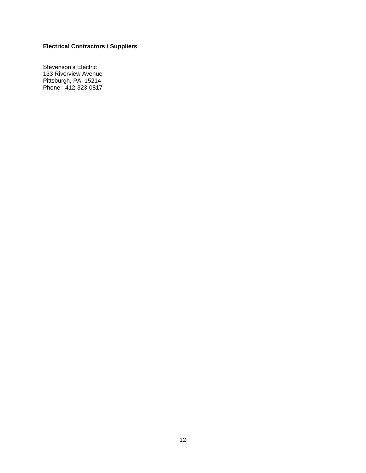# **Electrical Contractors / Suppliers**

Stevenson's Electric 133 Riverview Avenue Pittsburgh, PA 15214 Phone: 412-323-0817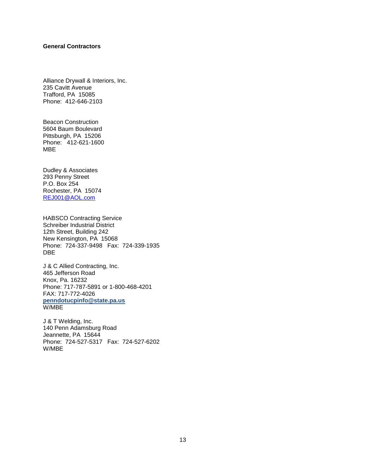#### **General Contractors**

Alliance Drywall & Interiors, Inc. 235 Cavitt Avenue Trafford, PA 15085 Phone: 412-646-2103

Beacon Construction 5604 Baum Boulevard Pittsburgh, PA 15206 Phone: 412-621-1600 MBE

Dudley & Associates 293 Penny Street P.O. Box 254 Rochester, PA 15074 [REJ001@AOL.com](mailto:REJ001@AOL.com)

HABSCO Contracting Service Schreiber Industrial District 12th Street, Building 242 New Kensington, PA 15068 Phone: 724-337-9498 Fax: 724-339-1935 DBE

J & C Allied Contracting, Inc. 465 Jefferson Road Knox, Pa. 16232 Phone: 717-787-5891 or 1-800-468-4201 FAX: 717-772-4026 **penndotucpinfo@state.pa.us** W/MBE

J & T Welding, Inc. 140 Penn Adamsburg Road Jeannette, PA 15644 Phone: 724-527-5317 Fax: 724-527-6202 W/MBE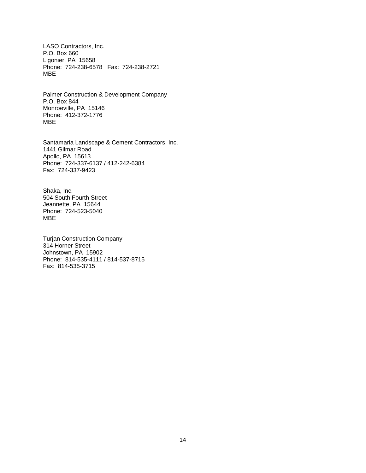LASO Contractors, Inc. P.O. Box 660 Ligonier, PA 15658 Phone: 724-238-6578 Fax: 724-238-2721 MBE

Palmer Construction & Development Company P.O. Box 844 Monroeville, PA 15146 Phone: 412-372-1776 MBE

Santamaria Landscape & Cement Contractors, Inc. 1441 Gilmar Road Apollo, PA 15613 Phone: 724-337-6137 / 412-242-6384 Fax: 724-337-9423

Shaka, Inc. 504 South Fourth Street Jeannette, PA 15644 Phone: 724-523-5040 MBE

Turjan Construction Company 314 Horner Street Johnstown, PA 15902 Phone: 814-535-4111 / 814-537-8715 Fax: 814-535-3715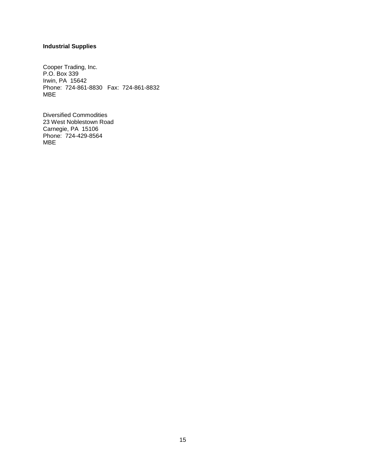## **Industrial Supplies**

Cooper Trading, Inc. P.O. Box 339 Irwin, PA 15642 Phone: 724-861-8830 Fax: 724-861-8832 MBE

Diversified Commodities 23 West Noblestown Road Carnegie, PA 15106 Phone: 724-429-8564 MBE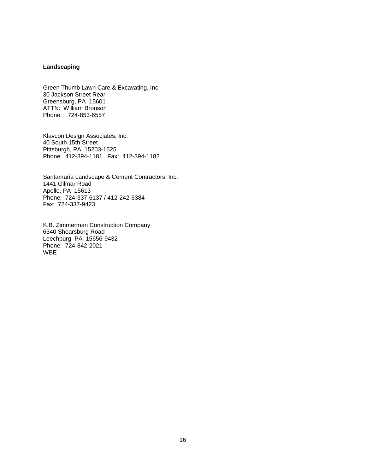#### **Landscaping**

Green Thumb Lawn Care & Excavating, Inc. 30 Jackson Street Rear Greensburg, PA 15601 ATTN: William Bronson Phone: 724-853-6557

Klavcon Design Associates, Inc. 40 South 15th Street Pittsburgh, PA 15203-1525 Phone: 412-394-1181 Fax: 412-394-1182

Santamaria Landscape & Cement Contractors, Inc. 1441 Gilmar Road Apollo, PA 15613 Phone: 724-337-6137 / 412-242-6384 Fax: 724-337-9423

K.B. Zimmerman Construction Company 6340 Shearsburg Road Leechburg, PA 15656-9432 Phone: 724-842-2021 WBE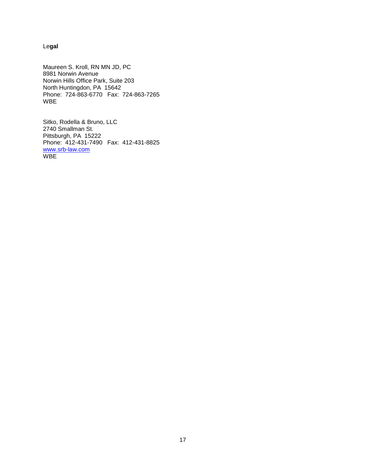Le**gal**

Maureen S. Kroll, RN MN JD, PC 8981 Norwin Avenue Norwin Hills Office Park, Suite 203 North Huntingdon, PA 15642 Phone: 724-863-6770 Fax: 724-863-7265 WBE

Sitko, Rodella & Bruno, LLC 2740 Smallman St. Pittsburgh, PA 15222 Phone: 412-431-7490 Fax: 412-431-8825 [www.srb-law.com](http://www.srb-law.com/) **WBE**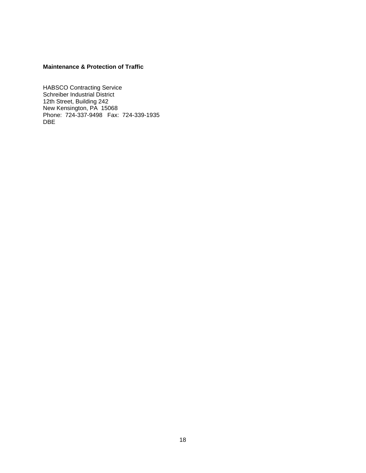### **Maintenance & Protection of Traffic**

HABSCO Contracting Service Schreiber Industrial District 12th Street, Building 242 New Kensington, PA 15068 Phone: 724-337-9498 Fax: 724-339-1935 DBE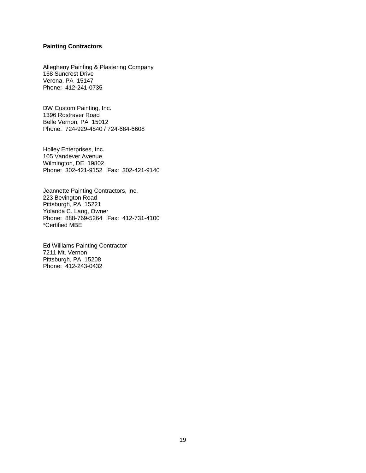#### **Painting Contractors**

Allegheny Painting & Plastering Company 168 Suncrest Drive Verona, PA 15147 Phone: 412-241-0735

DW Custom Painting, Inc. 1396 Rostraver Road Belle Vernon, PA 15012 Phone: 724-929-4840 / 724-684-6608

Holley Enterprises, Inc. 105 Vandever Avenue Wilmington, DE 19802 Phone: 302-421-9152 Fax: 302-421-9140

Jeannette Painting Contractors, Inc. 223 Bevington Road Pittsburgh, PA 15221 Yolanda C. Lang, Owner Phone: 888-769-5264 Fax: 412-731-4100 \*Certified MBE

Ed Williams Painting Contractor 7211 Mt. Vernon Pittsburgh, PA 15208 Phone: 412-243-0432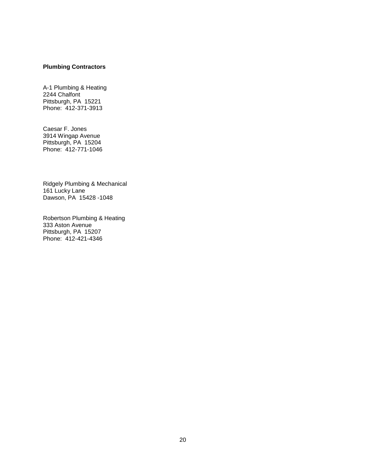#### **Plumbing Contractors**

A-1 Plumbing & Heating 2244 Chalfont Pittsburgh, PA 15221 Phone: 412-371-3913

Caesar F. Jones 3914 Wingap Avenue Pittsburgh, PA 15204 Phone: 412-771-1046

Ridgely Plumbing & Mechanical 161 Lucky Lane Dawson, PA 15428 -1048

Robertson Plumbing & Heating 333 Aston Avenue Pittsburgh, PA 15207 Phone: 412-421-4346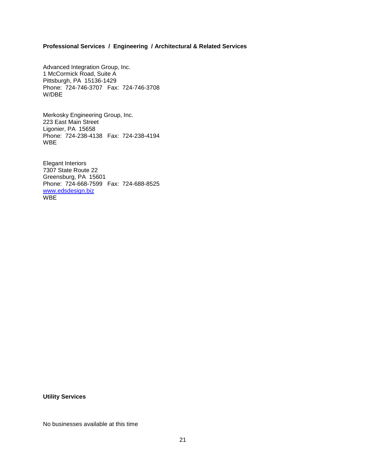#### **Professional Services / Engineering / Architectural & Related Services**

Advanced Integration Group, Inc. 1 McCormick Road, Suite A Pittsburgh, PA 15136-1429 Phone: 724-746-3707 Fax: 724-746-3708 W/DBE

Merkosky Engineering Group, Inc. 223 East Main Street Ligonier, PA 15658 Phone: 724-238-4138 Fax: 724-238-4194 WBE

Elegant Interiors 7307 State Route 22 Greensburg, PA 15601 Phone: 724-668-7599 Fax: 724-688-8525 [www.edsdesign.biz](http://www.edsdesign.biz/) W<sub>BE</sub>

**Utility Services**

No businesses available at this time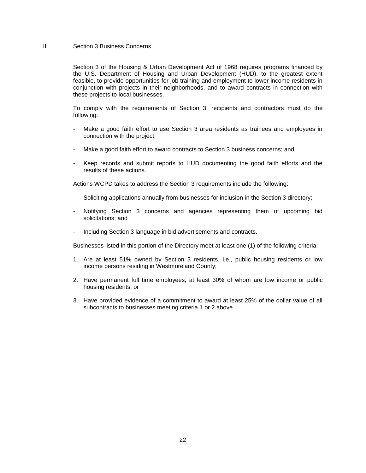#### II Section 3 Business Concerns

Section 3 of the Housing & Urban Development Act of 1968 requires programs financed by the U.S. Department of Housing and Urban Development (HUD), to the greatest extent feasible, to provide opportunities for job training and employment to lower income residents in conjunction with projects in their neighborhoods, and to award contracts in connection with these projects to local businesses.

To comply with the requirements of Section 3, recipients and contractors must do the following:

- Make a good faith effort to use Section 3 area residents as trainees and employees in connection with the project;
- Make a good faith effort to award contracts to Section 3 business concerns; and
- Keep records and submit reports to HUD documenting the good faith efforts and the results of these actions.

Actions WCPD takes to address the Section 3 requirements include the following:

- Soliciting applications annually from businesses for inclusion in the Section 3 directory;
- Notifying Section 3 concerns and agencies representing them of upcoming bid solicitations; and
- Including Section 3 language in bid advertisements and contracts.

Businesses listed in this portion of the Directory meet at least one (1) of the following criteria:

- 1. Are at least 51% owned by Section 3 residents, i.e., public housing residents or low income persons residing in Westmoreland County;
- 2. Have permanent full time employees, at least 30% of whom are low income or public housing residents; or
- 3. Have provided evidence of a commitment to award at least 25% of the dollar value of all subcontracts to businesses meeting criteria 1 or 2 above.